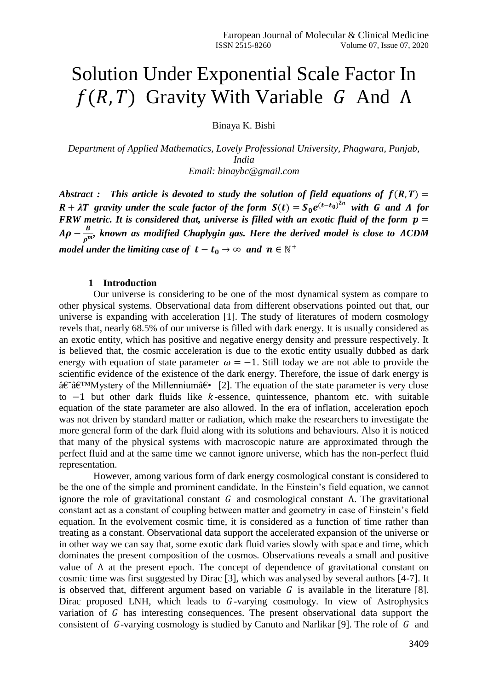# Solution Under Exponential Scale Factor In  $f(R, T)$  Gravity With Variable G And  $\Lambda$

Binaya K. Bishi

*Department of Applied Mathematics, Lovely Professional University, Phagwara, Punjab, India Email: binaybc@gmail.com*

*Abstract : This article is devoted to study the solution of field equations of*  $f(R,T) =$  $R + \lambda T$  gravity under the scale factor of the form  $S(t) = S_0 e^{(t-t_0)^{2n}}$  with G and  $\Lambda$  for *FRW metric. It is considered that, universe is filled with an exotic fluid of the form*  $\dot{p}$  *=*  $A\rho-\frac{B}{r^2}$  $\frac{B}{\rho^{m}}$ , known as modified Chaplygin gas. Here the derived model is close to  $\Lambda CDM$ *model under the limiting case of*  $t - t_0 \rightarrow \infty$  and  $n \in \mathbb{N}^+$ 

# **1 Introduction**

Our universe is considering to be one of the most dynamical system as compare to other physical systems. Observational data from different observations pointed out that, our universe is expanding with acceleration [1]. The study of literatures of modern cosmology revels that, nearly 68.5% of our universe is filled with dark energy. It is usually considered as an exotic entity, which has positive and negative energy density and pressure respectively. It is believed that, the cosmic acceleration is due to the exotic entity usually dubbed as dark energy with equation of state parameter  $\omega = -1$ . Still today we are not able to provide the scientific evidence of the existence of the dark energy. Therefore, the issue of dark energy is  $\hat{\mathbf{a}} \in \hat{\mathbf{a}}$  at  $\hat{\mathbf{a}}$  at  $\hat{\mathbf{a}}$  of the Millennium  $\hat{\mathbf{a}} \in [2]$ . The equation of the state parameter is very close to  $-1$  but other dark fluids like  $k$ -essence, quintessence, phantom etc. with suitable equation of the state parameter are also allowed. In the era of inflation, acceleration epoch was not driven by standard matter or radiation, which make the researchers to investigate the more general form of the dark fluid along with its solutions and behaviours. Also it is noticed that many of the physical systems with macroscopic nature are approximated through the perfect fluid and at the same time we cannot ignore universe, which has the non-perfect fluid representation.

However, among various form of dark energy cosmological constant is considered to be the one of the simple and prominent candidate. In the Einstein's field equation, we cannot ignore the role of gravitational constant  $G$  and cosmological constant  $\Lambda$ . The gravitational constant act as a constant of coupling between matter and geometry in case of Einstein's field equation. In the evolvement cosmic time, it is considered as a function of time rather than treating as a constant. Observational data support the accelerated expansion of the universe or in other way we can say that, some exotic dark fluid varies slowly with space and time, which dominates the present composition of the cosmos. Observations reveals a small and positive value of Λ at the present epoch. The concept of dependence of gravitational constant on cosmic time was first suggested by Dirac [3], which was analysed by several authors [4-7]. It is observed that, different argument based on variable  $G$  is available in the literature [8]. Dirac proposed LNH, which leads to  $G$ -varying cosmology. In view of Astrophysics variation of G has interesting consequences. The present observational data support the consistent of  $G$ -varying cosmology is studied by Canuto and Narlikar [9]. The role of  $G$  and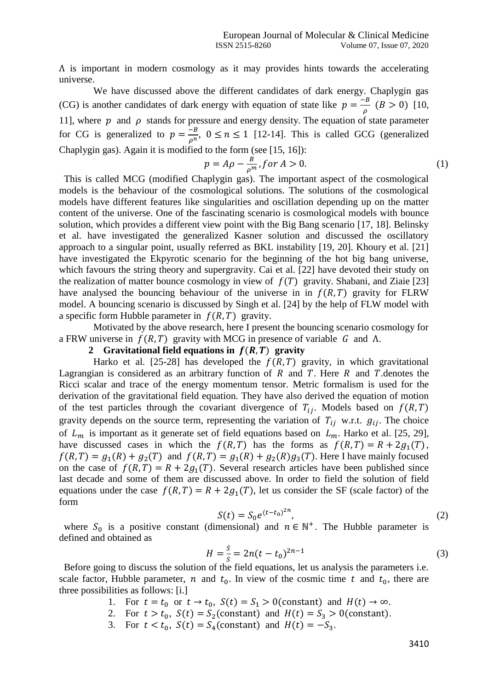Λ is important in modern cosmology as it may provides hints towards the accelerating universe.

We have discussed above the different candidates of dark energy. Chaplygin gas (CG) is another candidates of dark energy with equation of state like  $p = \frac{-B}{\epsilon}$  $\frac{P}{\rho}$  (*B* > 0) [10, 11], where  $p$  and  $\rho$  stands for pressure and energy density. The equation of state parameter for CG is generalized to  $p = \frac{-B}{n}$  $\frac{-b}{\rho^n}$ ,  $0 \le n \le 1$  [12-14]. This is called GCG (generalized Chaplygin gas). Again it is modified to the form (see [15, 16]):

$$
p = A\rho - \frac{B}{\rho^m}, \text{for } A > 0. \tag{1}
$$

This is called MCG (modified Chaplygin gas). The important aspect of the cosmological models is the behaviour of the cosmological solutions. The solutions of the cosmological models have different features like singularities and oscillation depending up on the matter content of the universe. One of the fascinating scenario is cosmological models with bounce solution, which provides a different view point with the Big Bang scenario [17, 18]. Belinsky et al. have investigated the generalized Kasner solution and discussed the oscillatory approach to a singular point, usually referred as BKL instability [19, 20]. Khoury et al. [21] have investigated the Ekpyrotic scenario for the beginning of the hot big bang universe, which favours the string theory and supergravity. Cai et al. [22] have devoted their study on the realization of matter bounce cosmology in view of  $f(T)$  gravity. Shabani, and Ziaie [23] have analysed the bouncing behaviour of the universe in in  $f(R, T)$  gravity for FLRW model. A bouncing scenario is discussed by Singh et al. [24] by the help of FLW model with a specific form Hubble parameter in  $f(R, T)$  gravity.

Motivated by the above research, here I present the bouncing scenario cosmology for a FRW universe in  $f(R, T)$  gravity with MCG in presence of variable G and  $\Lambda$ .

# **2** Gravitational field equations in  $f(R, T)$  gravity

Harko et al. [25-28] has developed the  $f(R, T)$  gravity, in which gravitational Lagrangian is considered as an arbitrary function of  $R$  and  $T$ . Here  $R$  and  $T$  denotes the Ricci scalar and trace of the energy momentum tensor. Metric formalism is used for the derivation of the gravitational field equation. They have also derived the equation of motion of the test particles through the covariant divergence of  $T_{ij}$ . Models based on  $f(R, T)$ gravity depends on the source term, representing the variation of  $T_{ij}$  w.r.t.  $g_{ij}$ . The choice of  $L_m$  is important as it generate set of field equations based on  $L_m$ . Harko et al. [25, 29], have discussed cases in which the  $f(R, T)$  has the forms as  $f(R, T) = R + 2g_1(T)$ ,  $f(R, T) = g_1(R) + g_2(T)$  and  $f(R, T) = g_1(R) + g_2(R)g_3(T)$ . Here I have mainly focused on the case of  $f(R, T) = R + 2g_1(T)$ . Several research articles have been published since last decade and some of them are discussed above. In order to field the solution of field equations under the case  $f(R, T) = R + 2g_1(T)$ , let us consider the SF (scale factor) of the form

$$
S(t) = S_0 e^{(t - t_0)^{2n}},
$$
\n(2)

where  $S_0$  is a positive constant (dimensional) and  $n \in \mathbb{N}^+$ . The Hubble parameter is defined and obtained as

$$
H = \frac{\dot{s}}{s} = 2n(t - t_0)^{2n - 1}
$$
\n(3)

Before going to discuss the solution of the field equations, let us analysis the parameters i.e. scale factor, Hubble parameter, *n* and  $t_0$ . In view of the cosmic time *t* and  $t_0$ , there are three possibilities as follows: [i.]

- 1. For  $t = t_0$  or  $t \to t_0$ ,  $S(t) = S_1 > 0$  (constant) and  $H(t) \to \infty$ .
- 2. For  $t > t_0$ ,  $S(t) = S_2$ (constant) and  $H(t) = S_3 > 0$ (constant).
- 3. For  $t < t_0$ ,  $S(t) = S_4$ (constant) and  $H(t) = -S_3$ .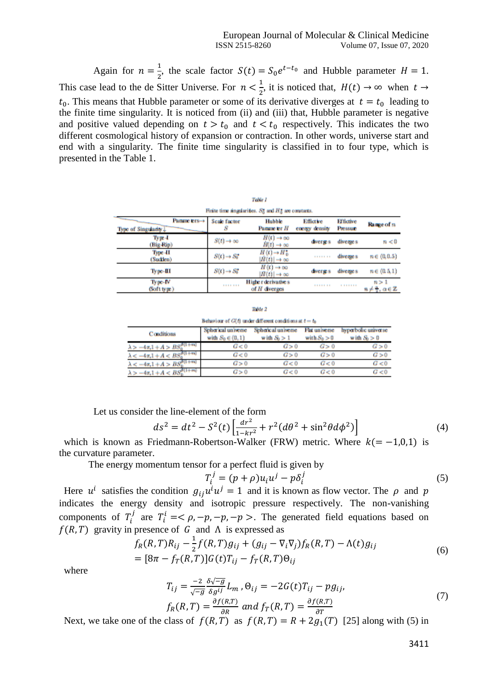Again for  $n = \frac{1}{2}$  $\frac{1}{2}$ , the scale factor  $S(t) = S_0 e^{t-t_0}$  and Hubble parameter  $H = 1$ . This case lead to the de Sitter Universe. For  $n < \frac{1}{2}$  $\frac{1}{2}$ , it is noticed that,  $H(t) \rightarrow \infty$  when  $t \rightarrow$  $t_0$ . This means that Hubble parameter or some of its derivative diverges at  $t = t_0$  leading to the finite time singularity. It is noticed from (ii) and (iii) that, Hubble parameter is negative and positive valued depending on  $t > t_0$  and  $t < t_0$  respectively. This indicates the two different cosmological history of expansion or contraction. In other words, universe start and end with a singularity. The finite time singularity is classified in to four type, which is presented in the Table 1.

|                                                              |                           | <b>FRANCI</b>                                               |                             |                              |                     |  |  |
|--------------------------------------------------------------|---------------------------|-------------------------------------------------------------|-----------------------------|------------------------------|---------------------|--|--|
| Finite time angularities. $S_0^*$ and $H_0^*$ are constants. |                           |                                                             |                             |                              |                     |  |  |
| Panme ers→<br>Type of Singularity L                          | <b>Scale factor</b>       | <b>Hubble</b><br>Panme er H                                 | Effictive<br>energy density | <b>Effictive</b><br>Pressure | Range of n.         |  |  |
| Type 4<br>(Big-Rip)                                          | $S(t) \rightarrow \infty$ | $H(t) \rightarrow \infty$<br>$H(t) \rightarrow \infty$      | dwerse s                    | diverge s                    | n < 0               |  |  |
| Type 41<br>(Sudden)                                          | $S(t) \rightarrow S_t^*$  | $H(t) \rightarrow H_{R}^{*}$<br>$H(t)$ $\rightarrow \infty$ |                             | diverge s                    | $n \in (0, 0.5)$    |  |  |
| Type-III                                                     | $S(t) \rightarrow S_t^*$  | $H(t) \rightarrow \infty$<br>$H(t)$ $\rightarrow \infty$    | dwerse s                    | diverge s                    | $n \in (0.5.1)$     |  |  |
| Type-IV<br>(Soft type)                                       |                           | Higher derivatives<br>$\alpha f$ H diverges                 |                             | .                            | n > 1<br>n 44. ac Z |  |  |

Behaviour of  $G(t)$  under different conditions at  $t = t_0$ 

| Conditions                                | Spherical universe<br>with $S_0 \in (0,1)$ | Spherical universe<br>with $S_0 > 1$ | Flat universe<br>with $S_0 > 0$ | hyperbolic universe<br>with $S_0 > 0$ |
|-------------------------------------------|--------------------------------------------|--------------------------------------|---------------------------------|---------------------------------------|
| $\lambda > -4\pi.1 + A > BS_0^{B(1+n)}$   | G<0                                        | G > 0                                | G>0                             | G > 0                                 |
| $\lambda < -4\pi.1 + A < BS_0^{0(1+w)}$   | C < 0                                      | G > 0                                | G > 0                           | G > 0                                 |
| $\lambda < -4\pi.1 + A > BS_0^{0(1+n)}$   | G > 0                                      | G < 0                                | G<0                             | G<0                                   |
| $\lambda > -4\pi.1 + A < BS_{0}^{B(1+m)}$ | G > 0                                      | G < 0                                | G < 0                           | G<0                                   |

Let us consider the line-element of the form

$$
ds^{2} = dt^{2} - S^{2}(t) \left[ \frac{dr^{2}}{1 - kr^{2}} + r^{2} (d\theta^{2} + \sin^{2}\theta d\phi^{2}) \right]
$$
 (4)

which is known as Friedmann-Robertson-Walker (FRW) metric. Where  $k(=-1,0,1)$  is the curvature parameter.

The energy momentum tensor for a perfect fluid is given by

$$
T_i^j = (p + \rho)u_i u^j - p\delta_i^j \tag{5}
$$

Here  $u^i$  satisfies the condition  $g_{ij}u^i u^j = 1$  and it is known as flow vector. The  $\rho$  and  $p$ indicates the energy density and isotropic pressure respectively. The non-vanishing components of  $T_i^j$  are  $T_i^i = <\rho, -p, -p, -p>$ . The generated field equations based on  $f(R, T)$  gravity in presence of G and  $\Lambda$  is expressed as

$$
f_R(R,T)R_{ij} - \frac{1}{2}f(R,T)g_{ij} + (g_{ij} - \nabla_i \nabla_j) f_R(R,T) - \Lambda(t)g_{ij}
$$
  
= 
$$
[\mathcal{B}\pi - f_T(R,T)]G(t)T_{ij} - f_T(R,T)\Theta_{ij}
$$
 (6)

where

$$
T_{ij} = \frac{-2}{\sqrt{-g}} \frac{\delta \sqrt{-g}}{\delta g^{ij}} L_m, \Theta_{ij} = -2G(t)T_{ij} - pg_{ij},
$$
  
\n
$$
f_R(R, T) = \frac{\partial f(R, T)}{\partial R} \text{ and } f_T(R, T) = \frac{\partial f(R, T)}{\partial T}.
$$
\n(7)

Next, we take one of the class of  $f(R, T)$  as  $f(R, T) = R + 2g_1(T)$  [25] along with (5) in

3411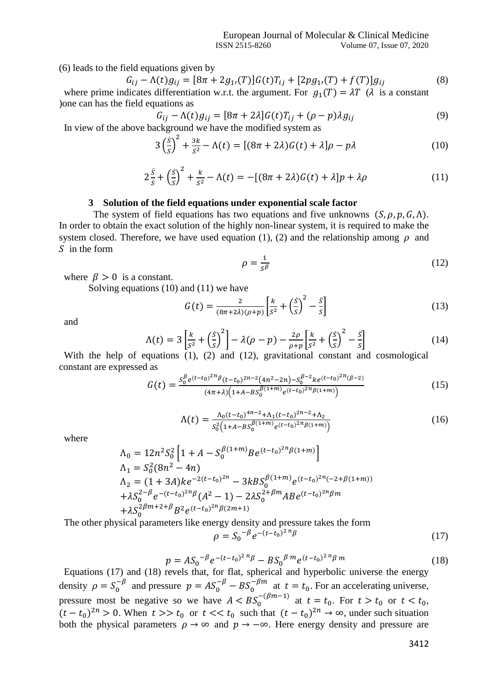(6) leads to the field equations given by

$$
G_{ij} - \Lambda(t)g_{ij} = [8\pi + 2g_{1i}(T)]G(t)T_{ij} + [2pg_{1i}(T) + f(T)]g_{ij}
$$
(8)

where prime indicates differentiation w.r.t. the argument. For  $g_1(T) = \lambda T$  ( $\lambda$  is a constant )one can has the field equations as

$$
G_{ij} - \Lambda(t)g_{ij} = [8\pi + 2\lambda]G(t)T_{ij} + (\rho - p)\lambda g_{ij}
$$
  
reckoround we have the modified system as

In view of the above background we have the modified system as

$$
3\left(\frac{\dot{S}}{S}\right)^2 + \frac{3k}{S^2} - \Lambda(t) = \left[ (8\pi + 2\lambda)G(t) + \lambda \right]\rho - p\lambda \tag{10}
$$

$$
2\frac{\ddot{s}}{s} + \left(\frac{\dot{s}}{s}\right)^2 + \frac{k}{s^2} - \Lambda(t) = -[(8\pi + 2\lambda)G(t) + \lambda]p + \lambda\rho \tag{11}
$$

#### **3 Solution of the field equations under exponential scale factor**

The system of field equations has two equations and five unknowns  $(S, \rho, p, G, \Lambda)$ . In order to obtain the exact solution of the highly non-linear system, it is required to make the system closed. Therefore, we have used equation (1), (2) and the relationship among  $\rho$  and  $\overline{S}$  in the form

$$
\rho = \frac{1}{s^{\beta}}
$$
 (12)

where  $\beta > 0$  is a constant.

Solving equations (10) and (11) we have

$$
G(t) = \frac{2}{(8\pi + 2\lambda)(\rho + p)} \left[ \frac{k}{s^2} + \left(\frac{s}{s}\right)^2 - \frac{s}{s} \right]
$$
(13)

and

$$
\Lambda(t) = 3\left[\frac{k}{s^2} + \left(\frac{\dot{s}}{s}\right)^2\right] - \lambda(\rho - p) - \frac{2\rho}{\rho + p}\left[\frac{k}{s^2} + \left(\frac{\dot{s}}{s}\right)^2 - \frac{\ddot{s}}{s}\right]
$$
(14)

With the help of equations (1), (2) and (12), gravitational constant and cosmological constant are expressed as

$$
G(t) = \frac{s_0^{\beta} e^{(t-t_0)^{2n} \beta} (t-t_0)^{2n-2} (4n^2-2n) - s_0^{\beta-2} k e^{(t-t_0)^{2n} (\beta-2)}}{(4\pi \lambda) (1 + A - B s_0^{\beta(1+m)} e^{(t-t_0)^{2n} \beta(1+m)})}
$$
(15)

$$
\Lambda(t) = \frac{\Lambda_0 (t - t_0)^{4n - 2} + \Lambda_1 (t - t_0)^{2n - 2} + \Lambda_2}{s_0^2 \left(1 + A - BS_0^{\beta (1 + m)} e^{(t - t_0)^{2n} \beta (1 + m)}\right)}
$$
(16)

where

$$
\Lambda_0 = 12n^2S_0^2 \left[ 1 + A - S_0^{\beta(1+m)} B e^{(t-t_0)^{2n} \beta(1+m)} \right]
$$
  
\n
$$
\Lambda_1 = S_0^2 (8n^2 - 4n)
$$
  
\n
$$
\Lambda_2 = (1 + 3A) k e^{-2(t-t_0)^{2n}} - 3k B S_0^{\beta(1+m)} e^{(t-t_0)^{2n} (-2 + \beta(1+m))}
$$
  
\n
$$
+ \lambda S_0^{2-\beta} e^{-(t-t_0)^{2n} \beta} (A^2 - 1) - 2\lambda S_0^{2+\beta m} A B e^{(t-t_0)^{2n} \beta m}
$$
  
\n
$$
+ \lambda S_0^{2\beta m + 2 + \beta} B^2 e^{(t-t_0)^{2n} \beta(2m+1)}
$$

The other physical parameters like energy density and pressure takes the form

$$
\rho = S_0^{-\beta} e^{-(t - t_0)^2 n} \beta \tag{17}
$$

$$
p = A S_0^{-\beta} e^{-(t-t_0)^2 n} \beta - B S_0^{-\beta m} e^{(t-t_0)^2 n} \beta m \tag{18}
$$

Equations (17) and (18) revels that, for flat, spherical and hyperbolic universe the energy density  $\rho = S_0^{-\beta}$  and pressure  $p = A S_0^{-\beta} - B S_0^{-\beta m}$  at  $t = t_0$ . For an accelerating universe, pressure most be negative so we have  $A < BS_0^{-(\beta m-1)}$  at  $t = t_0$ . For  $t > t_0$  or  $t < t_0$ ,  $(t - t_0)^{2n} > 0$ . When  $t >> t_0$  or  $t << t_0$  such that  $(t - t_0)^{2n} \to \infty$ , under such situation both the physical parameters  $\rho \to \infty$  and  $p \to -\infty$ . Here energy density and pressure are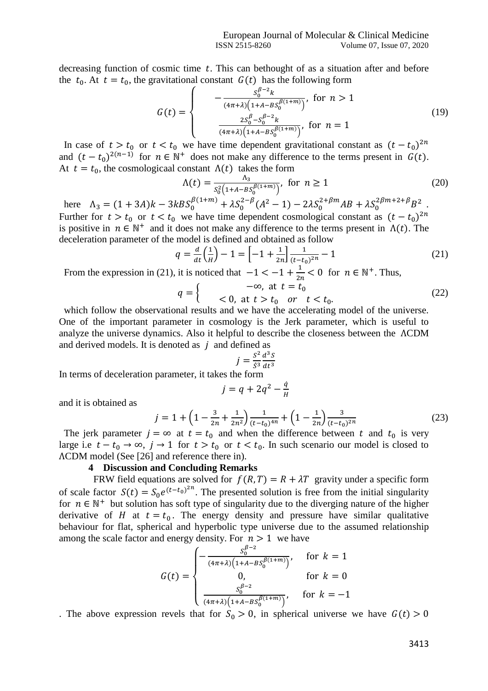decreasing function of cosmic time  $t$ . This can bethought of as a situation after and before the  $t_0$ . At  $t = t_0$ , the gravitational constant  $G(t)$  has the following form

$$
G(t) = \begin{cases} -\frac{S_0^{\beta-2}k}{(4\pi+\lambda)\left(1+A-BS_0^{\beta(1+m)}\right)}, & \text{for } n > 1\\ \frac{2S_0^{\beta}-S_0^{\beta-2}k}{(4\pi+\lambda)\left(1+A-BS_0^{\beta(1+m)}\right)}, & \text{for } n = 1 \end{cases}
$$
(19)

In case of  $t > t_0$  or  $t < t_0$  we have time dependent gravitational constant as  $(t - t_0)^{2n}$ and  $(t - t_0)^{2(n-1)}$  for  $n \in \mathbb{N}^+$  does not make any difference to the terms present in  $G(t)$ . At  $t = t_0$ , the cosmologicaal constant  $\Lambda(t)$  takes the form

$$
\Lambda(t) = \frac{\Lambda_3}{s_0^2 \left(1 + A - B \delta_0^{\beta(1+m)}\right)}, \text{ for } n \ge 1
$$
\n(20)

here  $\Lambda_3 = (1 + 3A)k - 3kBS_0^{\beta(1+m)} + \lambda S_0^{2-\beta}(A^2 - 1) - 2\lambda S_0^{2+\beta m}AB + \lambda S_0^{2\beta m + 2+\beta}B^2$ . Further for  $t > t_0$  or  $t < t_0$  we have time dependent cosmological constant as  $(t - t_0)^{2n}$ is positive in  $n \in \mathbb{N}^+$  and it does not make any difference to the terms present in  $\Lambda(t)$ . The deceleration parameter of the model is defined and obtained as follow

$$
q = \frac{d}{dt} \left(\frac{1}{H}\right) - 1 = \left[ -1 + \frac{1}{2n} \right] \frac{1}{(t - t_0)^{2n}} - 1 \tag{21}
$$

From the expression in (21), it is noticed that  $-1 < -1 + \frac{1}{2}$  $\frac{1}{2n}$  < 0 for  $n \in \mathbb{N}^+$ . Thus,

$$
q = \begin{cases} -\infty, \text{ at } t = t_0 \\ < 0, \text{ at } t > t_0 \text{ or } t < t_0. \end{cases}
$$
 (22)

which follow the observational results and we have the accelerating model of the universe. One of the important parameter in cosmology is the Jerk parameter, which is useful to analyze the universe dynamics. Also it helpful to describe the closeness between the ΛCDM and derived models. It is denoted as  $j$  and defined as

$$
j = \frac{S^2}{\dot{S}^3} \frac{d^3 S}{dt^3}
$$

In terms of deceleration parameter, it takes the form

$$
j = q + 2q^2 - \frac{\dot{q}}{H}
$$

and it is obtained as

$$
j = 1 + \left(1 - \frac{3}{2n} + \frac{1}{2n^2}\right) \frac{1}{(t - t_0)^{4n}} + \left(1 - \frac{1}{2n}\right) \frac{3}{(t - t_0)^{2n}}\tag{23}
$$

The jerk parameter  $j = \infty$  at  $t = t_0$  and when the difference between t and  $t_0$  is very large i.e  $t - t_0 \rightarrow \infty$ ,  $j \rightarrow 1$  for  $t > t_0$  or  $t < t_0$ . In such scenario our model is closed to ΛCDM model (See [26] and reference there in).

# **4 Discussion and Concluding Remarks**

FRW field equations are solved for  $f(R, T) = R + \lambda T$  gravity under a specific form of scale factor  $S(t) = S_0 e^{(t-t_0)^{2n}}$ . The presented solution is free from the initial singularity for  $n \in \mathbb{N}^+$  but solution has soft type of singularity due to the diverging nature of the higher derivative of H at  $t = t_0$ . The energy density and pressure have similar qualitative behaviour for flat, spherical and hyperbolic type universe due to the assumed relationship among the scale factor and energy density. For  $n > 1$  we have

$$
G(t) = \begin{cases} -\frac{S_0^{\beta - 2}}{(4\pi + \lambda)\left(1 + A - BS_0^{\beta(1+m)}\right)}, & \text{for } k = 1\\ 0, & \text{for } k = 0\\ \frac{S_0^{\beta - 2}}{(4\pi + \lambda)\left(1 + A - BS_0^{\beta(1+m)}\right)}, & \text{for } k = -1 \end{cases}
$$

. The above expression revels that for  $S_0 > 0$ , in spherical universe we have  $G(t) > 0$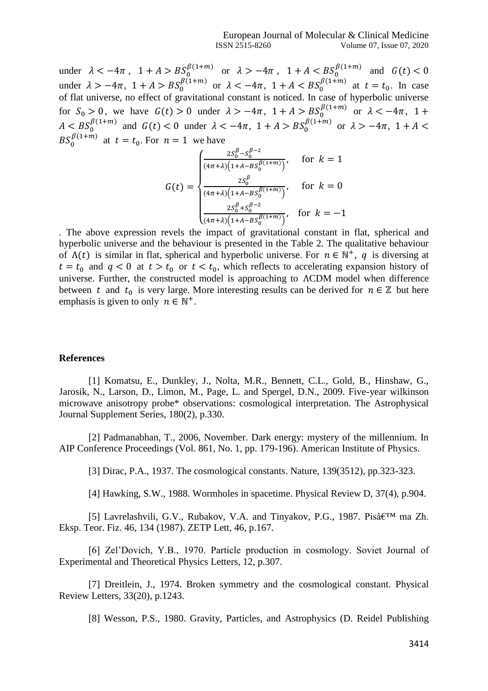under  $\lambda < -4\pi$ ,  $1 + A > BS_0^{\beta(1+m)}$  or  $\lambda > -4\pi$ ,  $1 + A < BS_0^{\beta(1+m)}$  and  $G(t) < 0$ under  $\lambda > -4\pi$ ,  $1 + A > BS_0^{\beta(1+m)}$  or  $\lambda < -4\pi$ ,  $1 + A < BS_0^{\beta(1+m)}$  at  $t = t_0$ . In case of flat universe, no effect of gravitational constant is noticed. In case of hyperbolic universe for  $S_0 > 0$ , we have  $G(t) > 0$  under  $\lambda > -4\pi$ ,  $1 + A > BS_0^{\beta(1+m)}$  or  $\lambda < -4\pi$ ,  $1 +$  $A < BS_0^{\beta(1+m)}$  and  $G(t) < 0$  under  $\lambda < -4\pi$ ,  $1 + A > BS_0^{\beta(1+m)}$  or  $\lambda > -4\pi$ ,  $1 + A <$  $BS_0^{\beta(1+m)}$  at  $t = t_0$ . For  $n = 1$  we have

$$
G(t) = \begin{cases} \frac{2S_0^{\beta} - S_0^{\beta - 2}}{(4\pi + \lambda)\left(1 + A - BS_0^{\beta}(1 + m)\right)}, & \text{for } k = 1\\ \frac{2S_0^{\beta}}{(4\pi + \lambda)\left(1 + A - BS_0^{\beta}(1 + m)\right)}, & \text{for } k = 0\\ \frac{2S_0^{\beta} + S_0^{\beta - 2}}{(4\pi + \lambda)\left(1 + A - BS_0^{\beta}(1 + m)\right)}, & \text{for } k = -1 \end{cases}
$$

. The above expression revels the impact of gravitational constant in flat, spherical and hyperbolic universe and the behaviour is presented in the Table 2. The qualitative behaviour of  $\Lambda(t)$  is similar in flat, spherical and hyperbolic universe. For  $n \in \mathbb{N}^+$ , q is diversing at  $t = t_0$  and  $q < 0$  at  $t > t_0$  or  $t < t_0$ , which reflects to accelerating expansion history of universe. Further, the constructed model is approaching to ΛCDM model when difference between t and  $t_0$  is very large. More interesting results can be derived for  $n \in \mathbb{Z}$  but here emphasis is given to only  $n \in \mathbb{N}^+$ .

# **References**

[1] Komatsu, E., Dunkley, J., Nolta, M.R., Bennett, C.L., Gold, B., Hinshaw, G., Jarosik, N., Larson, D., Limon, M., Page, L. and Spergel, D.N., 2009. Five-year wilkinson microwave anisotropy probe\* observations: cosmological interpretation. The Astrophysical Journal Supplement Series, 180(2), p.330.

[2] Padmanabhan, T., 2006, November. Dark energy: mystery of the millennium. In AIP Conference Proceedings (Vol. 861, No. 1, pp. 179-196). American Institute of Physics.

[3] Dirac, P.A., 1937. The cosmological constants. Nature, 139(3512), pp.323-323.

[4] Hawking, S.W., 1988. Wormholes in spacetime. Physical Review D, 37(4), p.904.

[5] Lavrelashvili, G.V., Rubakov, V.A. and Tinyakov, P.G., 1987. Pisâ $\epsilon^{TM}$  ma Zh. Eksp. Teor. Fiz. 46, 134 (1987). ZETP Lett, 46, p.167.

[6] Zel'Dovich, Y.B., 1970. Particle production in cosmology. Soviet Journal of Experimental and Theoretical Physics Letters, 12, p.307.

[7] Dreitlein, J., 1974. Broken symmetry and the cosmological constant. Physical Review Letters, 33(20), p.1243.

[8] Wesson, P.S., 1980. Gravity, Particles, and Astrophysics (D. Reidel Publishing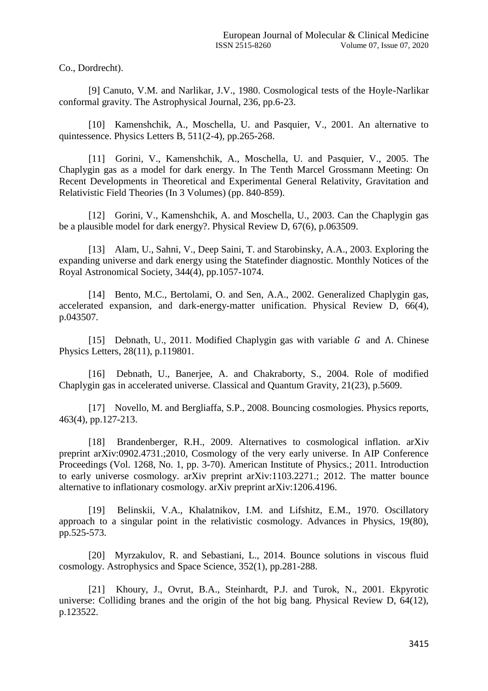Co., Dordrecht).

[9] Canuto, V.M. and Narlikar, J.V., 1980. Cosmological tests of the Hoyle-Narlikar conformal gravity. The Astrophysical Journal, 236, pp.6-23.

[10] Kamenshchik, A., Moschella, U. and Pasquier, V., 2001. An alternative to quintessence. Physics Letters B, 511(2-4), pp.265-268.

[11] Gorini, V., Kamenshchik, A., Moschella, U. and Pasquier, V., 2005. The Chaplygin gas as a model for dark energy. In The Tenth Marcel Grossmann Meeting: On Recent Developments in Theoretical and Experimental General Relativity, Gravitation and Relativistic Field Theories (In 3 Volumes) (pp. 840-859).

[12] Gorini, V., Kamenshchik, A. and Moschella, U., 2003. Can the Chaplygin gas be a plausible model for dark energy?. Physical Review D, 67(6), p.063509.

[13] Alam, U., Sahni, V., Deep Saini, T. and Starobinsky, A.A., 2003. Exploring the expanding universe and dark energy using the Statefinder diagnostic. Monthly Notices of the Royal Astronomical Society, 344(4), pp.1057-1074.

[14] Bento, M.C., Bertolami, O. and Sen, A.A., 2002. Generalized Chaplygin gas, accelerated expansion, and dark-energy-matter unification. Physical Review D, 66(4), p.043507.

[15] Debnath, U., 2011. Modified Chaplygin gas with variable  $G$  and  $\Lambda$ . Chinese Physics Letters, 28(11), p.119801.

[16] Debnath, U., Banerjee, A. and Chakraborty, S., 2004. Role of modified Chaplygin gas in accelerated universe. Classical and Quantum Gravity, 21(23), p.5609.

[17] Novello, M. and Bergliaffa, S.P., 2008. Bouncing cosmologies. Physics reports, 463(4), pp.127-213.

[18] Brandenberger, R.H., 2009. Alternatives to cosmological inflation. arXiv preprint arXiv:0902.4731.;2010, Cosmology of the very early universe. In AIP Conference Proceedings (Vol. 1268, No. 1, pp. 3-70). American Institute of Physics.; 2011. Introduction to early universe cosmology. arXiv preprint arXiv:1103.2271.; 2012. The matter bounce alternative to inflationary cosmology. arXiv preprint arXiv:1206.4196.

[19] Belinskii, V.A., Khalatnikov, I.M. and Lifshitz, E.M., 1970. Oscillatory approach to a singular point in the relativistic cosmology. Advances in Physics, 19(80), pp.525-573.

[20] Myrzakulov, R. and Sebastiani, L., 2014. Bounce solutions in viscous fluid cosmology. Astrophysics and Space Science, 352(1), pp.281-288.

[21] Khoury, J., Ovrut, B.A., Steinhardt, P.J. and Turok, N., 2001. Ekpyrotic universe: Colliding branes and the origin of the hot big bang. Physical Review D, 64(12), p.123522.